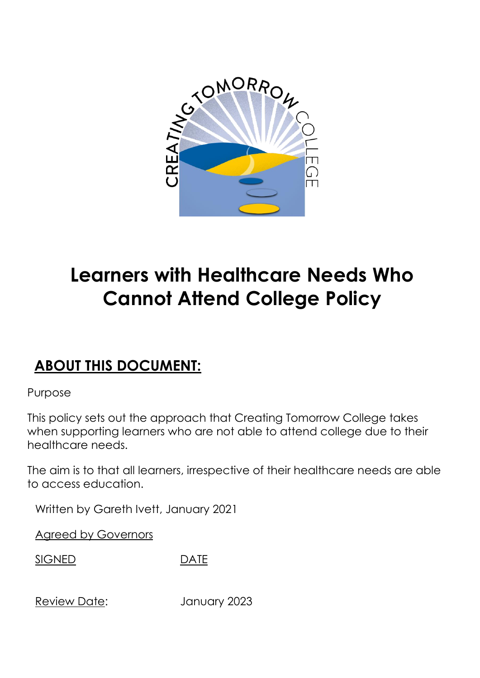

# **Learners with Healthcare Needs Who Cannot Attend College Policy**

# **ABOUT THIS DOCUMENT:**

Purpose

This policy sets out the approach that Creating Tomorrow College takes when supporting learners who are not able to attend college due to their healthcare needs.

The aim is to that all learners, irrespective of their healthcare needs are able to access education.

Written by Gareth Ivett, January 2021

Agreed by Governors

SIGNED DATE

Review Date: January 2023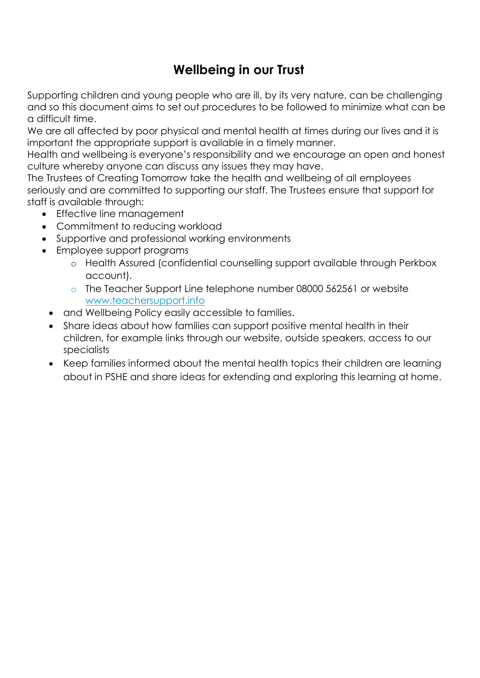# **Wellbeing in our Trust**

Supporting children and young people who are ill, by its very nature, can be challenging and so this document aims to set out procedures to be followed to minimize what can be a difficult time.

We are all affected by poor physical and mental health at times during our lives and it is important the appropriate support is available in a timely manner.

Health and wellbeing is everyone's responsibility and we encourage an open and honest culture whereby anyone can discuss any issues they may have.

The Trustees of Creating Tomorrow take the health and wellbeing of all employees seriously and are committed to supporting our staff. The Trustees ensure that support for staff is available through:

- Effective line management
- Commitment to reducing workload
- Supportive and professional working environments
- Employee support programs
	- o Health Assured (confidential counselling support available through Perkbox account).
	- o The Teacher Support Line telephone number 08000 562561 or website [www.teachersupport.info](http://www.teachersupport.info/)
	- and Wellbeing Policy easily accessible to families.
	- Share ideas about how families can support positive mental health in their children, for example links through our website, outside speakers, access to our specialists
	- Keep families informed about the mental health topics their children are learning about in PSHE and share ideas for extending and exploring this learning at home.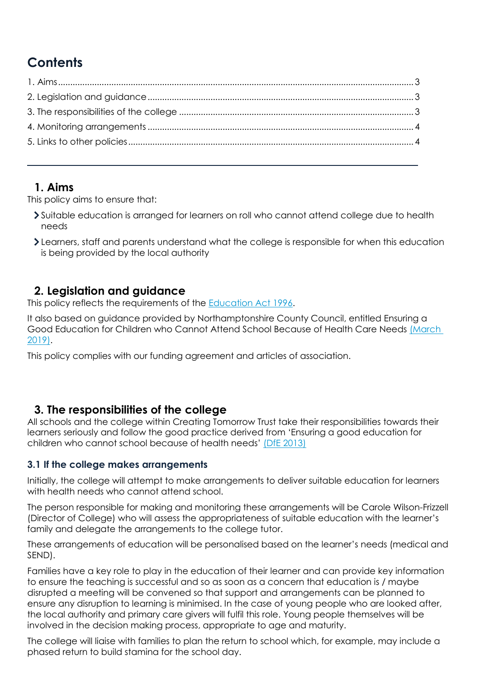# **Contents**

### <span id="page-2-0"></span>**1. Aims**

This policy aims to ensure that:

- Suitable education is arranged for learners on roll who cannot attend college due to health needs
- Learners, staff and parents understand what the college is responsible for when this education is being provided by the local authority

## <span id="page-2-1"></span>**2. Legislation and guidance**

This policy reflects the requirements of the **Education Act 1996**.

It also based on guidance provided by Northamptonshire County Council, entitled Ensuring a Good Education for Children who Cannot Attend School Because of Health Care Needs [\(March](https://www.northamptonshire.gov.uk/councilservices/children-families-education/SEND/local-offer/Downloads/09.18-northants-la-policy-for-pupils-with-medical-needs.pdf)  [2019\).](https://www.northamptonshire.gov.uk/councilservices/children-families-education/SEND/local-offer/Downloads/09.18-northants-la-policy-for-pupils-with-medical-needs.pdf)

This policy complies with our funding agreement and articles of association.

### <span id="page-2-2"></span>**3. The responsibilities of the college**

All schools and the college within Creating Tomorrow Trust take their responsibilities towards their learners seriously and follow the good practice derived from 'Ensuring a good education for children who cannot school because of health needs' [\(DfE 2013\)](https://www.gov.uk/government/publications/education-for-children-with-health-needs-who-cannot-attend-school)

### **3.1 If the college makes arrangements**

Initially, the college will attempt to make arrangements to deliver suitable education for learners with health needs who cannot attend school.

The person responsible for making and monitoring these arrangements will be Carole Wilson-Frizzell (Director of College) who will assess the appropriateness of suitable education with the learner's family and delegate the arrangements to the college tutor.

These arrangements of education will be personalised based on the learner's needs (medical and SEND).

Families have a key role to play in the education of their learner and can provide key information to ensure the teaching is successful and so as soon as a concern that education is / maybe disrupted a meeting will be convened so that support and arrangements can be planned to ensure any disruption to learning is minimised. In the case of young people who are looked after, the local authority and primary care givers will fulfil this role. Young people themselves will be involved in the decision making process, appropriate to age and maturity.

The college will liaise with families to plan the return to school which, for example, may include a phased return to build stamina for the school day.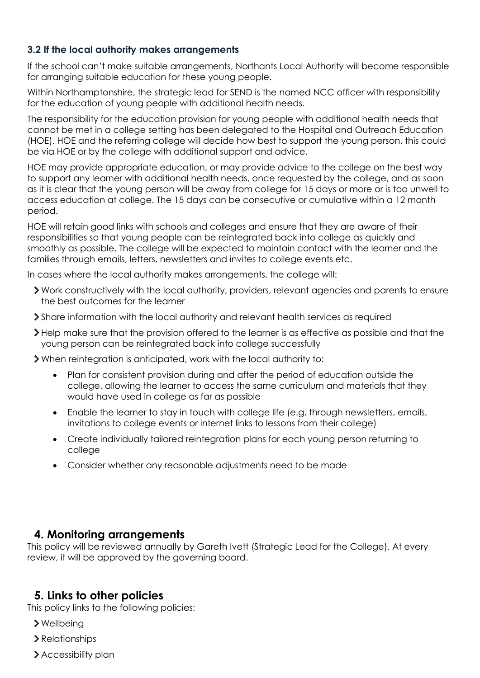#### **3.2 If the local authority makes arrangements**

If the school can't make suitable arrangements, Northants Local Authority will become responsible for arranging suitable education for these young people.

Within Northamptonshire, the strategic lead for SEND is the named NCC officer with responsibility for the education of young people with additional health needs.

The responsibility for the education provision for young people with additional health needs that cannot be met in a college setting has been delegated to the Hospital and Outreach Education (HOE). HOE and the referring college will decide how best to support the young person, this could be via HOE or by the college with additional support and advice.

HOE may provide appropriate education, or may provide advice to the college on the best way to support any learner with additional health needs, once requested by the college, and as soon as it is clear that the young person will be away from college for 15 days or more or is too unwell to access education at college. The 15 days can be consecutive or cumulative within a 12 month period.

HOE will retain good links with schools and colleges and ensure that they are aware of their responsibilities so that young people can be reintegrated back into college as quickly and smoothly as possible. The college will be expected to maintain contact with the learner and the families through emails, letters, newsletters and invites to college events etc.

In cases where the local authority makes arrangements, the college will:

- Work constructively with the local authority, providers, relevant agencies and parents to ensure the best outcomes for the learner
- Share information with the local authority and relevant health services as required
- Help make sure that the provision offered to the learner is as effective as possible and that the young person can be reintegrated back into college successfully

When reintegration is anticipated, work with the local authority to:

- Plan for consistent provision during and after the period of education outside the college, allowing the learner to access the same curriculum and materials that they would have used in college as far as possible
- Enable the learner to stay in touch with college life (e.g. through newsletters, emails, invitations to college events or internet links to lessons from their college)
- Create individually tailored reintegration plans for each young person returning to college
- <span id="page-3-1"></span><span id="page-3-0"></span>Consider whether any reasonable adjustments need to be made

#### **4. Monitoring arrangements**

This policy will be reviewed annually by Gareth Ivett (Strategic Lead for the College). At every review, it will be approved by the governing board.

#### **5. Links to other policies**

This policy links to the following policies:

- Wellbeing
- Relationships
- > Accessibility plan